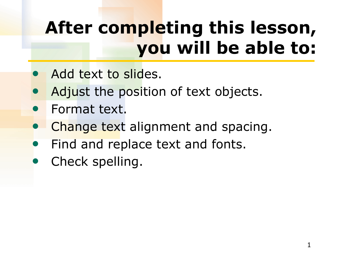# **After completing this lesson, you will be able to:**

- Add text to slides.
- Adjust the position of text objects.
- Format text.
- Change text alignment and spacing.
- Find and replace text and fonts.
- Check spelling.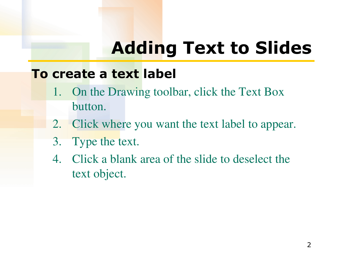## **Adding Text to Slides**

#### **To create a text label**

- 1. On the Drawing toolbar, click the Text Box button.
- 2. Click where you want the text label to appear.
- 3. Type the text.
- 4. Click a blank area of the slide to deselect the text object.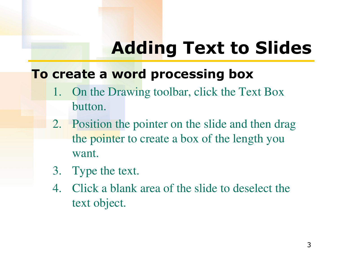## **Adding Text to Slides**

### **To create a word processing box**

- 1. On the Drawing toolbar, click the Text Box button.
- 2. Position the pointer on the slide and then drag the pointer to create a box of the length you want.
- 3. Type the text.
- 4. Click a blank area of the slide to deselect the text object.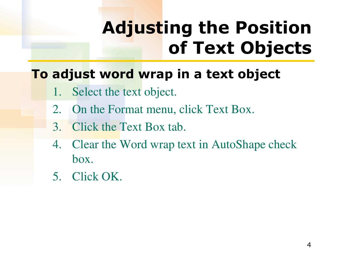# **Adjusting the Position of Text Objects**

## **To adjust word wrap in a text object**

- 1. Select the text object.
- 2. On the Format menu, click Text Box.
- 3. Click the Text Box tab.
- 4. Clear the Word wrap text in AutoShape check box.
- 5. Click OK.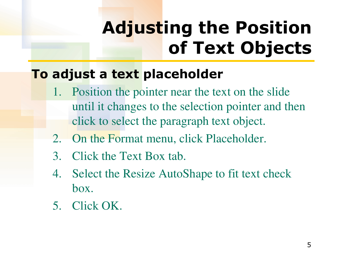# **Adjusting the Position of Text Objects**

### **To adjust a text placeholder**

- 1. Position the pointer near the text on the slide until it changes to the selection pointer and then click to select the paragraph text object.
- 2. On the Format menu, click Placeholder.
- 3. Click the Text Box tab.
- 4. Select the Resize AutoShape to fit text check box.
- 5. Click OK.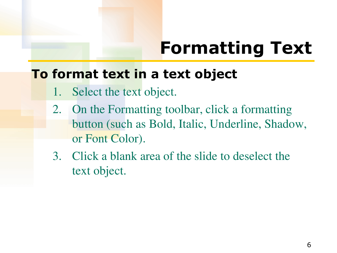# **Formatting Text**

#### **To format text in a text object**

- 1. Select the text object.
- 2. On the Formatting toolbar, click a formatting button (such as Bold, Italic, Underline, Shadow, or Font Color).
- 3. Click a blank area of the slide to deselect the text object.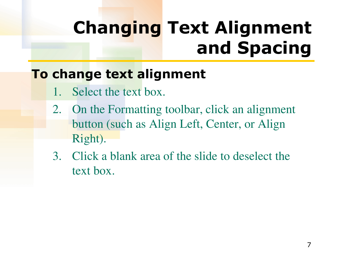## **Changing Text Alignment and Spacing**

## **To change text alignment**

- Select the text box.
- 2. On the Formatting toolbar, click an alignment button (such as Align Left, Center, or Align Right).
- 3. Click a blank area of the slide to deselect the text box.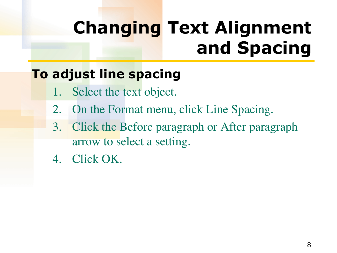## **Changing Text Alignment and Spacing**

## **To adjust line spacing**

- 1. Select the text object.
- 2. On the Format menu, click Line Spacing.
- 3. Click the Before paragraph or After paragraph arrow to select a setting.
- 4. Click OK.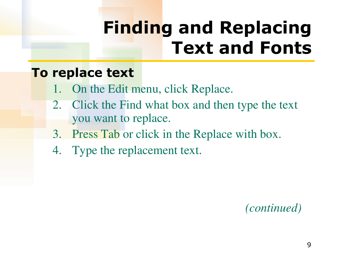# **Finding and Replacing Text and Fonts**

#### **To replace text**

- 1. On the Edit menu, click Replace.
- 2. Click the Find what box and then type the text you want to replace.
- 3. Press Tab or click in the Replace with box.
- 4. Type the replacement text.

#### *(continued)*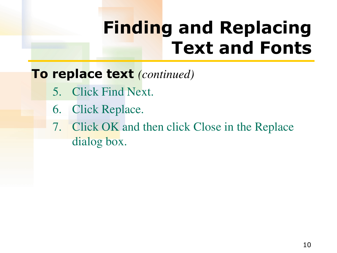# **Finding and Replacing Text and Fonts**

### **To replace text** *(continued)*

- 5. Click Find Next.
- 6. Click Replace.
- 7. Click OK and then click Close in the Replace dialog box.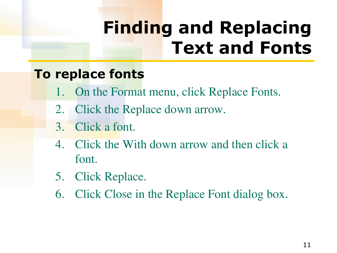# **Finding and Replacing Text and Fonts**

### **To replace fonts**

- 1. On the Format menu, click Replace Fonts.
- 2. Click the Replace down arrow.
- 3. Click a font.
- 4. Click the With down arrow and then click a font.
- 5. Click Replace.
- 6. Click Close in the Replace Font dialog box.